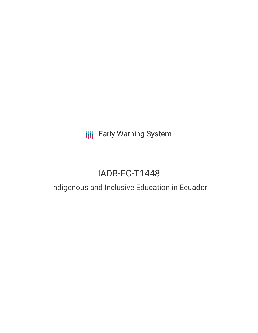**III** Early Warning System

# IADB-EC-T1448

## Indigenous and Inclusive Education in Ecuador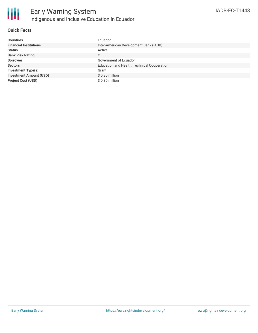

#### **Quick Facts**

| <b>Countries</b>               | Ecuador                                     |
|--------------------------------|---------------------------------------------|
| <b>Financial Institutions</b>  | Inter-American Development Bank (IADB)      |
| <b>Status</b>                  | Active                                      |
| <b>Bank Risk Rating</b>        | C                                           |
| <b>Borrower</b>                | Government of Ecuador                       |
| <b>Sectors</b>                 | Education and Health, Technical Cooperation |
| <b>Investment Type(s)</b>      | Grant                                       |
| <b>Investment Amount (USD)</b> | $$0.30$ million                             |
| <b>Project Cost (USD)</b>      | \$ 0.30 million                             |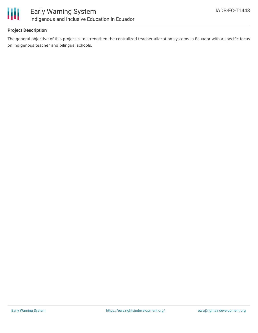

#### **Project Description**

The general objective of this project is to strengthen the centralized teacher allocation systems in Ecuador with a specific focus on indigenous teacher and bilingual schools.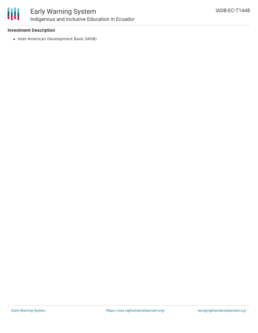

## Early Warning System Indigenous and Inclusive Education in Ecuador

#### **Investment Description**

• Inter-American Development Bank (IADB)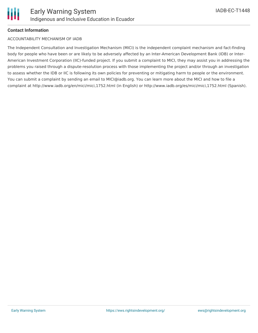#### **Contact Information**

#### ACCOUNTABILITY MECHANISM OF IADB

The Independent Consultation and Investigation Mechanism (MICI) is the independent complaint mechanism and fact-finding body for people who have been or are likely to be adversely affected by an Inter-American Development Bank (IDB) or Inter-American Investment Corporation (IIC)-funded project. If you submit a complaint to MICI, they may assist you in addressing the problems you raised through a dispute-resolution process with those implementing the project and/or through an investigation to assess whether the IDB or IIC is following its own policies for preventing or mitigating harm to people or the environment. You can submit a complaint by sending an email to MICI@iadb.org. You can learn more about the MICI and how to file a complaint at http://www.iadb.org/en/mici/mici,1752.html (in English) or http://www.iadb.org/es/mici/mici,1752.html (Spanish).